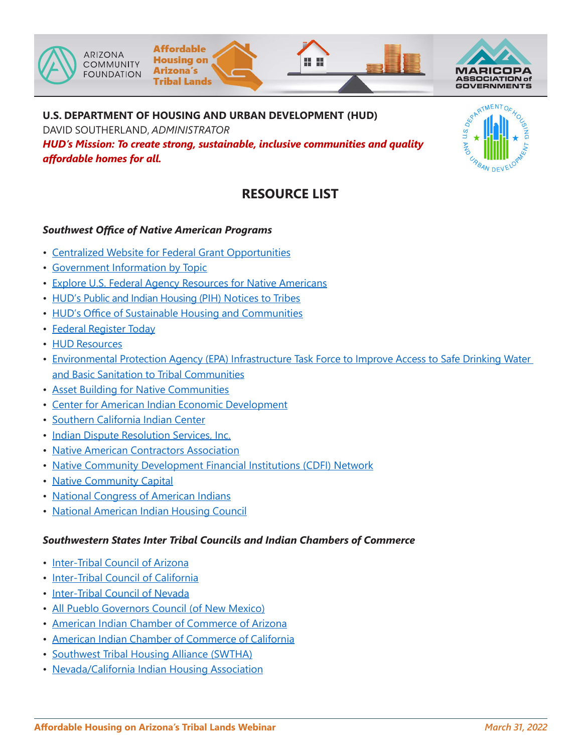





### **U.S. DEPARTMENT OF HOUSING AND URBAN DEVELOPMENT (HUD)**

DAVID SOUTHERLAND, *ADMINISTRATOR*

*HUD's Mission: To create strong, sustainable, inclusive communities and quality affordable homes for all.*

# $\frac{1}{\sqrt{2}}$

## **RESOURCE LIST**

### *Southwest Office of Native American Programs*

- Centralized Website for Federal Grant [Opportunities](http://www.grants.gov)
- [Government](http://www.usa.gov) Information by Topic
- Explore U.S. Federal Agency Resources for Native [Americans](https://www.usa.gov/tribes)
- [HUD's Public and Indian Housing \(PIH\)](https://www.hud.gov/program_offices/public_indian_housing/ih/regs/notices) Notices to Tribes
- HUD's Office of Sustainable Housing and [Communities](https://www.hud.gov/hudprograms/sci)
- Federal [Register](https://www.federalregister.gov/) Today
- HUD [Resources](https://www.hud.gov/resources)
- [Environmental Protection Agency \(EPA\) Infrastructure Task Force to Improve Access to Safe Drinking Water](https://www.epa.gov/tribal/federal-infrastructure-task-force-improve-access-safe-drinking-water-and-basic-sanitation)  [and Basic Sanitation to Tribal Communities](https://www.epa.gov/tribal/federal-infrastructure-task-force-improve-access-safe-drinking-water-and-basic-sanitation)
- Asset Building for Native [Communities](https://www.firstnations.org/wp-content/uploads/publication-attachments/2004_Asset_Building_in_Native_Communities.pdf#:~:text=Asset-building%20policy%20in%20Native%20communities%20thus%20must%20have,asset-%20building%20to%20support%20their%20families%20and%20communities.)
- Center for American Indian Economic [Development](https://in.nau.edu/economic-policy-institute/caied/)
- Southern [California](http://www.indiancenter.org) Indian Center
- Indian Dispute [Resolution](http://www.idrsinc.org) Services, Inc.
- Native American [Contractors](http://www.nativecontractors.org/) Association
- [Native Community Development Financial Institutions \(CDFI\) Network](https://nativecdfi.org/)
- [Native Community Capital](https://nativecap.org/)
- National Congress of [American](http://www.ncai.org) Indians
- National [American](http://www.naihc.net) Indian Housing Council

### *Southwestern States Inter Tribal Councils and Indian Chambers of Commerce*

- [Inter-Tribal](http://www.itcaonline.com/) Council of Arizona
- [Inter-Tribal Council of California](https://www.facebook.com/ittccinc.org/)
- [Inter-Tribal](https://itcn.org/about-us/) Council of Nevada
- [All Pueblo Governors Council \(of New Mexico\)](https://www.iad.state.nm.us/pueblo-tribes-and-nations/pueblos/)
- [American Indian Chamber of](https://www.aiccaz.com/) Commerce of Arizona
- American Indian Chamber of [Commerce](http://www.aicccal.org) of California
- [Southwest Tribal Housing Alliance \(SWTHA\)](http://www.swtha.org/)
- [Nevada/California](http://www.nevcal.org/) Indian Housing Association